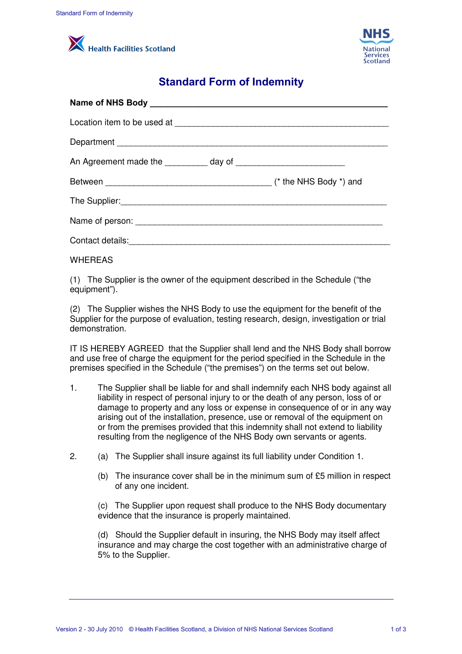



## **Standard Form of Indemnity**

|    | Health Facilities Scotland                                                                                                                                                                                                                                                                                                                                                                                                                                                                     | <b>NHS</b><br><b>National</b><br><b>Services</b><br>Scotland |
|----|------------------------------------------------------------------------------------------------------------------------------------------------------------------------------------------------------------------------------------------------------------------------------------------------------------------------------------------------------------------------------------------------------------------------------------------------------------------------------------------------|--------------------------------------------------------------|
|    | <b>Standard Form of Indemnity</b>                                                                                                                                                                                                                                                                                                                                                                                                                                                              |                                                              |
|    |                                                                                                                                                                                                                                                                                                                                                                                                                                                                                                |                                                              |
|    |                                                                                                                                                                                                                                                                                                                                                                                                                                                                                                |                                                              |
|    |                                                                                                                                                                                                                                                                                                                                                                                                                                                                                                |                                                              |
|    |                                                                                                                                                                                                                                                                                                                                                                                                                                                                                                |                                                              |
|    |                                                                                                                                                                                                                                                                                                                                                                                                                                                                                                |                                                              |
|    |                                                                                                                                                                                                                                                                                                                                                                                                                                                                                                |                                                              |
|    |                                                                                                                                                                                                                                                                                                                                                                                                                                                                                                |                                                              |
|    |                                                                                                                                                                                                                                                                                                                                                                                                                                                                                                |                                                              |
|    | <b>WHEREAS</b>                                                                                                                                                                                                                                                                                                                                                                                                                                                                                 |                                                              |
|    | (1) The Supplier is the owner of the equipment described in the Schedule ("the<br>equipment").                                                                                                                                                                                                                                                                                                                                                                                                 |                                                              |
|    | (2) The Supplier wishes the NHS Body to use the equipment for the benefit of the<br>Supplier for the purpose of evaluation, testing research, design, investigation or trial<br>demonstration.                                                                                                                                                                                                                                                                                                 |                                                              |
|    | IT IS HEREBY AGREED that the Supplier shall lend and the NHS Body shall borrow<br>and use free of charge the equipment for the period specified in the Schedule in the<br>premises specified in the Schedule ("the premises") on the terms set out below.                                                                                                                                                                                                                                      |                                                              |
| 1. | The Supplier shall be liable for and shall indemnify each NHS body against all<br>liability in respect of personal injury to or the death of any person, loss of or<br>damage to property and any loss or expense in consequence of or in any way<br>arising out of the installation, presence, use or removal of the equipment on<br>or from the premises provided that this indemnity shall not extend to liability<br>resulting from the negligence of the NHS Body own servants or agents. |                                                              |
| 2. | The Supplier shall insure against its full liability under Condition 1.<br>(a)                                                                                                                                                                                                                                                                                                                                                                                                                 |                                                              |
|    | The insurance cover shall be in the minimum sum of £5 million in respect<br>(b)<br>of any one incident.                                                                                                                                                                                                                                                                                                                                                                                        |                                                              |
|    | (c) The Supplier upon request shall produce to the NHS Body documentary<br>evidence that the insurance is properly maintained.                                                                                                                                                                                                                                                                                                                                                                 |                                                              |
|    | (d) Should the Supplier default in insuring, the NHS Body may itself affect<br>insurance and may charge the cost together with an administrative charge of<br>5% to the Supplier.                                                                                                                                                                                                                                                                                                              |                                                              |
|    |                                                                                                                                                                                                                                                                                                                                                                                                                                                                                                |                                                              |

## WHEREAS

- 1. The Supplier shall be liable for and shall indemnify each NHS body against all liability in respect of personal injury to or the death of any person, loss of or damage to property and any loss or expense in consequence of or in any way arising out of the installation, presence, use or removal of the equipment on or from the premises provided that this indemnity shall not extend to liability resulting from the negligence of the NHS Body own servants or agents.
- 2. (a) The Supplier shall insure against its full liability under Condition 1.
	- (b) The insurance cover shall be in the minimum sum of £5 million in respect of any one incident.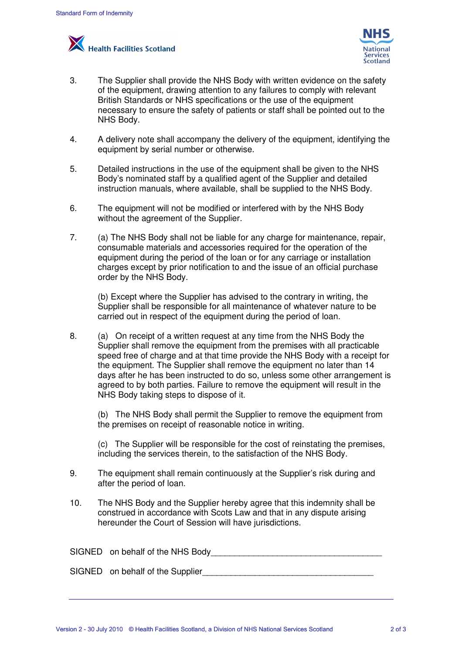



- 3. The Supplier shall provide the NHS Body with written evidence on the safety of the equipment, drawing attention to any failures to comply with relevant British Standards or NHS specifications or the use of the equipment necessary to ensure the safety of patients or staff shall be pointed out to the NHS Body.
- 4. A delivery note shall accompany the delivery of the equipment, identifying the equipment by serial number or otherwise.
- 5. Detailed instructions in the use of the equipment shall be given to the NHS Body's nominated staff by a qualified agent of the Supplier and detailed instruction manuals, where available, shall be supplied to the NHS Body.
- 6. The equipment will not be modified or interfered with by the NHS Body without the agreement of the Supplier.
- 7. (a) The NHS Body shall not be liable for any charge for maintenance, repair, consumable materials and accessories required for the operation of the equipment during the period of the loan or for any carriage or installation charges except by prior notification to and the issue of an official purchase order by the NHS Body.

 (b) Except where the Supplier has advised to the contrary in writing, the Supplier shall be responsible for all maintenance of whatever nature to be carried out in respect of the equipment during the period of loan.

Sancer Form of Indemnity<br>
1.1 The Supplier shall provide the NHS Body with written evidence<br>
of the oculpment, drawing attention to any failures to comply with<br>
the Soop-<br>
the Comparint Catwing attention to any failures to 8. (a) On receipt of a written request at any time from the NHS Body the Supplier shall remove the equipment from the premises with all practicable speed free of charge and at that time provide the NHS Body with a receipt for the equipment. The Supplier shall remove the equipment no later than 14 days after he has been instructed to do so, unless some other arrangement is agreed to by both parties. Failure to remove the equipment will result in the NHS Body taking steps to dispose of it. **INTS**<br>
is a scotland<br>
iller shall provide the NHS Body with written evidence on the state<br>
interaction correlation to any falluces to comply with redeviate<br>
interaction correlation of any falluce of the equipment, identif

 (b) The NHS Body shall permit the Supplier to remove the equipment from the premises on receipt of reasonable notice in writing.

 (c) The Supplier will be responsible for the cost of reinstating the premises, including the services therein, to the satisfaction of the NHS Body.

- 9. The equipment shall remain continuously at the Supplier's risk during and after the period of loan.
- 10. The NHS Body and the Supplier hereby agree that this indemnity shall be construed in accordance with Scots Law and that in any dispute arising hereunder the Court of Session will have jurisdictions.

| SIGNED on behalf of the NHS Body |
|----------------------------------|
| SIGNED on behalf of the Supplier |